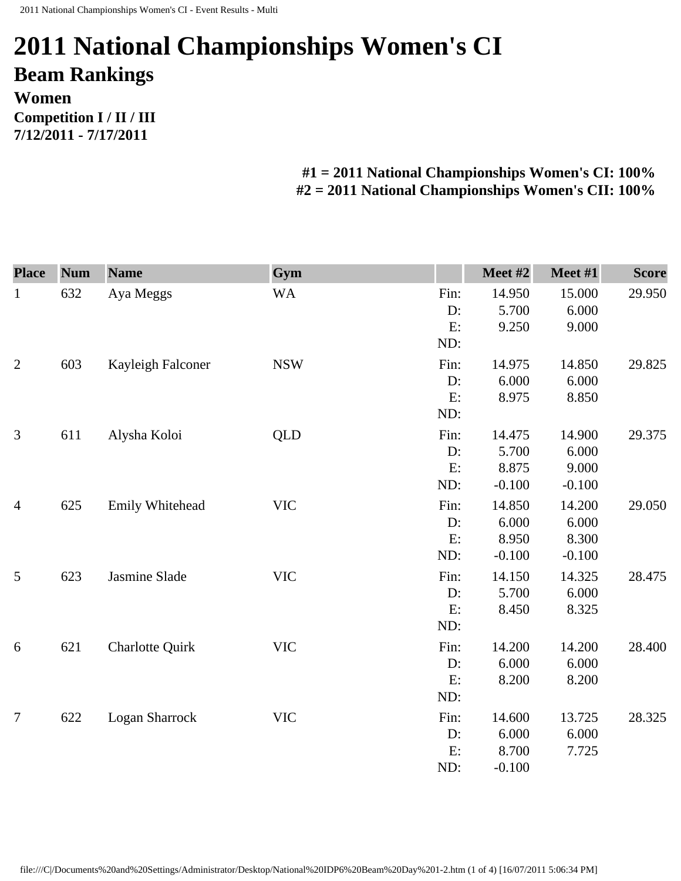## **2011 National Championships Women's CI Beam Rankings Women Competition I / II / III 7/12/2011 - 7/17/2011**

## **#1 = 2011 National Championships Women's CI: 100% #2 = 2011 National Championships Women's CII: 100%**

| <b>Place</b>   | <b>Num</b> | <b>Name</b>            | Gym        |      | Meet #2  | Meet #1  | <b>Score</b> |
|----------------|------------|------------------------|------------|------|----------|----------|--------------|
| $\mathbf{1}$   | 632        | Aya Meggs              | <b>WA</b>  | Fin: | 14.950   | 15.000   | 29.950       |
|                |            |                        |            | D:   | 5.700    | 6.000    |              |
|                |            |                        |            | E:   | 9.250    | 9.000    |              |
|                |            |                        |            | ND:  |          |          |              |
| $\overline{2}$ | 603        | Kayleigh Falconer      | <b>NSW</b> | Fin: | 14.975   | 14.850   | 29.825       |
|                |            |                        |            | D:   | 6.000    | 6.000    |              |
|                |            |                        |            | E:   | 8.975    | 8.850    |              |
|                |            |                        |            | ND:  |          |          |              |
| 3              | 611        | Alysha Koloi           | <b>QLD</b> | Fin: | 14.475   | 14.900   | 29.375       |
|                |            |                        |            | D:   | 5.700    | 6.000    |              |
|                |            |                        |            | E:   | 8.875    | 9.000    |              |
|                |            |                        |            | ND:  | $-0.100$ | $-0.100$ |              |
| $\overline{4}$ | 625        | Emily Whitehead        | <b>VIC</b> | Fin: | 14.850   | 14.200   | 29.050       |
|                |            |                        |            | D:   | 6.000    | 6.000    |              |
|                |            |                        |            | E:   | 8.950    | 8.300    |              |
|                |            |                        |            | ND:  | $-0.100$ | $-0.100$ |              |
| 5              | 623        | Jasmine Slade          | <b>VIC</b> | Fin: | 14.150   | 14.325   | 28.475       |
|                |            |                        |            | D:   | 5.700    | 6.000    |              |
|                |            |                        |            | E:   | 8.450    | 8.325    |              |
|                |            |                        |            | ND:  |          |          |              |
| 6              | 621        | <b>Charlotte Quirk</b> | <b>VIC</b> | Fin: | 14.200   | 14.200   | 28.400       |
|                |            |                        |            | D:   | 6.000    | 6.000    |              |
|                |            |                        |            | E:   | 8.200    | 8.200    |              |
|                |            |                        |            | ND:  |          |          |              |
| $\overline{7}$ | 622        | Logan Sharrock         | <b>VIC</b> | Fin: | 14.600   | 13.725   | 28.325       |
|                |            |                        |            | D:   | 6.000    | 6.000    |              |
|                |            |                        |            | E:   | 8.700    | 7.725    |              |
|                |            |                        |            | ND:  | $-0.100$ |          |              |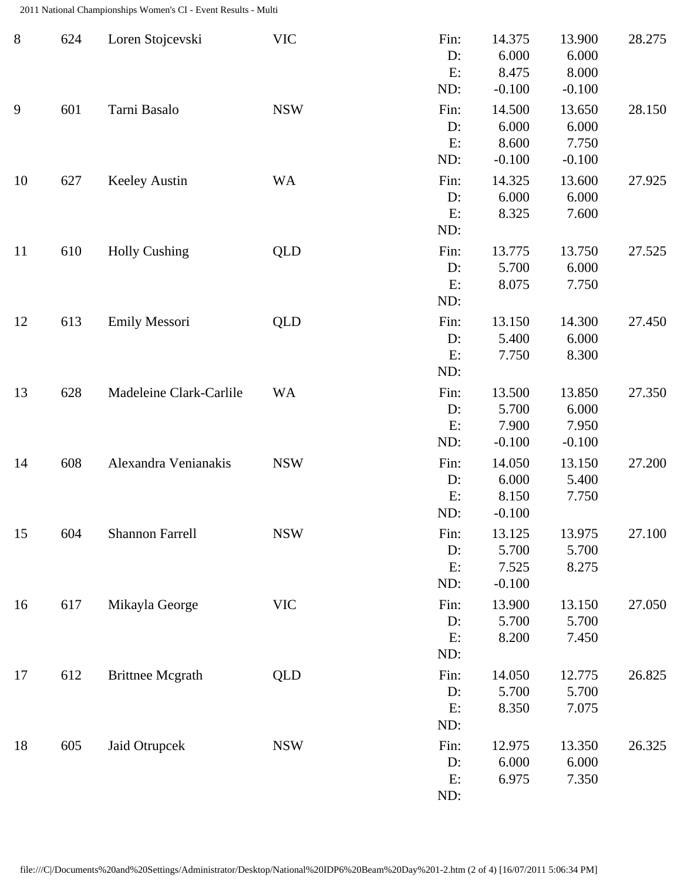2011 National Championships Women's CI - Event Results - Multi

| $8\,$ | 624 | Loren Stojcevski        | <b>VIC</b> | Fin:<br>D:<br>E:<br>ND:    | 14.375<br>6.000<br>8.475<br>$-0.100$ | 13.900<br>6.000<br>8.000<br>$-0.100$ | 28.275 |
|-------|-----|-------------------------|------------|----------------------------|--------------------------------------|--------------------------------------|--------|
| 9     | 601 | Tarni Basalo            | <b>NSW</b> | Fin:<br>D:<br>E:<br>ND:    | 14.500<br>6.000<br>8.600<br>$-0.100$ | 13.650<br>6.000<br>7.750<br>$-0.100$ | 28.150 |
| 10    | 627 | <b>Keeley Austin</b>    | <b>WA</b>  | Fin:<br>D:<br>E:<br>ND:    | 14.325<br>6.000<br>8.325             | 13.600<br>6.000<br>7.600             | 27.925 |
| 11    | 610 | <b>Holly Cushing</b>    | <b>QLD</b> | Fin:<br>D:<br>E:<br>ND:    | 13.775<br>5.700<br>8.075             | 13.750<br>6.000<br>7.750             | 27.525 |
| 12    | 613 | Emily Messori           | <b>QLD</b> | Fin:<br>D:<br>E:<br>ND:    | 13.150<br>5.400<br>7.750             | 14.300<br>6.000<br>8.300             | 27.450 |
| 13    | 628 | Madeleine Clark-Carlile | <b>WA</b>  | Fin:<br>D:<br>E:<br>ND:    | 13.500<br>5.700<br>7.900<br>$-0.100$ | 13.850<br>6.000<br>7.950<br>$-0.100$ | 27.350 |
| 14    | 608 | Alexandra Venianakis    | <b>NSW</b> | Fin:<br>D:<br>E:<br>ND:    | 14.050<br>6.000<br>8.150<br>$-0.100$ | 13.150<br>5.400<br>7.750             | 27.200 |
| 15    | 604 | <b>Shannon Farrell</b>  | <b>NSW</b> | Fin:<br>D:<br>E:<br>ND:    | 13.125<br>5.700<br>7.525<br>$-0.100$ | 13.975<br>5.700<br>8.275             | 27.100 |
| 16    | 617 | Mikayla George          | <b>VIC</b> | Fin:<br>$D$ :<br>E:<br>ND: | 13.900<br>5.700<br>8.200             | 13.150<br>5.700<br>7.450             | 27.050 |
| 17    | 612 | <b>Brittnee Mcgrath</b> | <b>QLD</b> | Fin:<br>D:<br>E:<br>ND:    | 14.050<br>5.700<br>8.350             | 12.775<br>5.700<br>7.075             | 26.825 |
| 18    | 605 | Jaid Otrupcek           | <b>NSW</b> | Fin:<br>D:<br>E:<br>ND:    | 12.975<br>6.000<br>6.975             | 13.350<br>6.000<br>7.350             | 26.325 |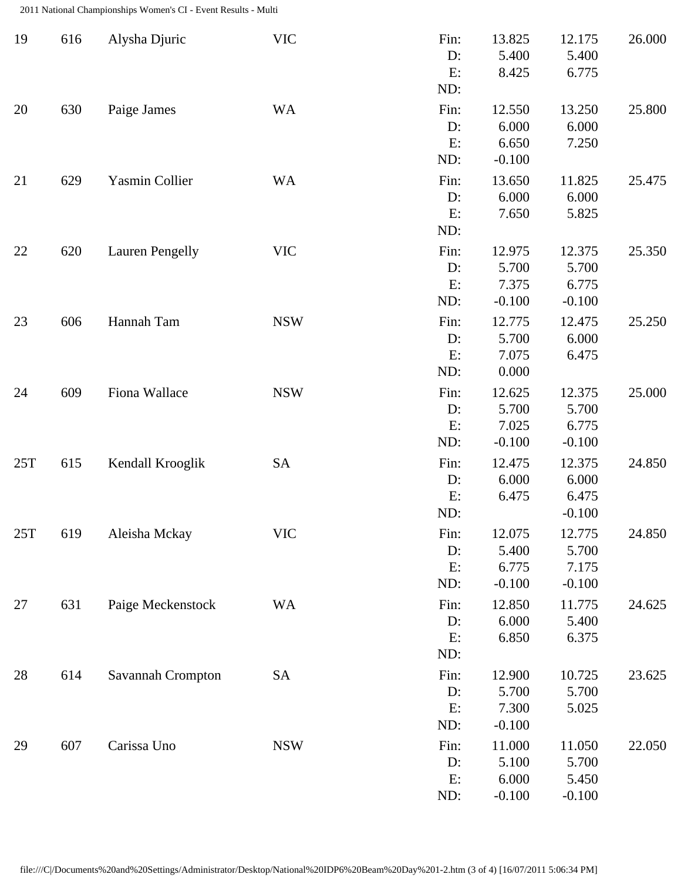2011 National Championships Women's CI - Event Results - Multi

| 19  | 616 | Alysha Djuric          | <b>VIC</b> | Fin:<br>D:<br>E:<br>ND:    | 13.825<br>5.400<br>8.425             | 12.175<br>5.400<br>6.775             | 26.000 |
|-----|-----|------------------------|------------|----------------------------|--------------------------------------|--------------------------------------|--------|
| 20  | 630 | Paige James            | <b>WA</b>  | Fin:<br>D:<br>E:<br>ND:    | 12.550<br>6.000<br>6.650<br>$-0.100$ | 13.250<br>6.000<br>7.250             | 25.800 |
| 21  | 629 | Yasmin Collier         | <b>WA</b>  | Fin:<br>D:<br>E:<br>ND:    | 13.650<br>6.000<br>7.650             | 11.825<br>6.000<br>5.825             | 25.475 |
| 22  | 620 | <b>Lauren Pengelly</b> | <b>VIC</b> | Fin:<br>$D$ :<br>E:<br>ND: | 12.975<br>5.700<br>7.375<br>$-0.100$ | 12.375<br>5.700<br>6.775<br>$-0.100$ | 25.350 |
| 23  | 606 | Hannah Tam             | <b>NSW</b> | Fin:<br>D:<br>E:<br>ND:    | 12.775<br>5.700<br>7.075<br>0.000    | 12.475<br>6.000<br>6.475             | 25.250 |
| 24  | 609 | Fiona Wallace          | <b>NSW</b> | Fin:<br>D:<br>E:<br>ND:    | 12.625<br>5.700<br>7.025<br>$-0.100$ | 12.375<br>5.700<br>6.775<br>$-0.100$ | 25.000 |
| 25T | 615 | Kendall Krooglik       | SA         | Fin:<br>$D$ :<br>E:<br>ND: | 12.475<br>6.000<br>6.475             | 12.375<br>6.000<br>6.475<br>$-0.100$ | 24.850 |
| 25T | 619 | Aleisha Mckay          | <b>VIC</b> | Fin:<br>D:<br>E:<br>ND:    | 12.075<br>5.400<br>6.775<br>$-0.100$ | 12.775<br>5.700<br>7.175<br>$-0.100$ | 24.850 |
| 27  | 631 | Paige Meckenstock      | <b>WA</b>  | Fin:<br>$D$ :<br>E:<br>ND: | 12.850<br>6.000<br>6.850             | 11.775<br>5.400<br>6.375             | 24.625 |
| 28  | 614 | Savannah Crompton      | <b>SA</b>  | Fin:<br>$D$ :<br>E:<br>ND: | 12.900<br>5.700<br>7.300<br>$-0.100$ | 10.725<br>5.700<br>5.025             | 23.625 |
| 29  | 607 | Carissa Uno            | <b>NSW</b> | Fin:<br>$D$ :<br>E:<br>ND: | 11.000<br>5.100<br>6.000<br>$-0.100$ | 11.050<br>5.700<br>5.450<br>$-0.100$ | 22.050 |